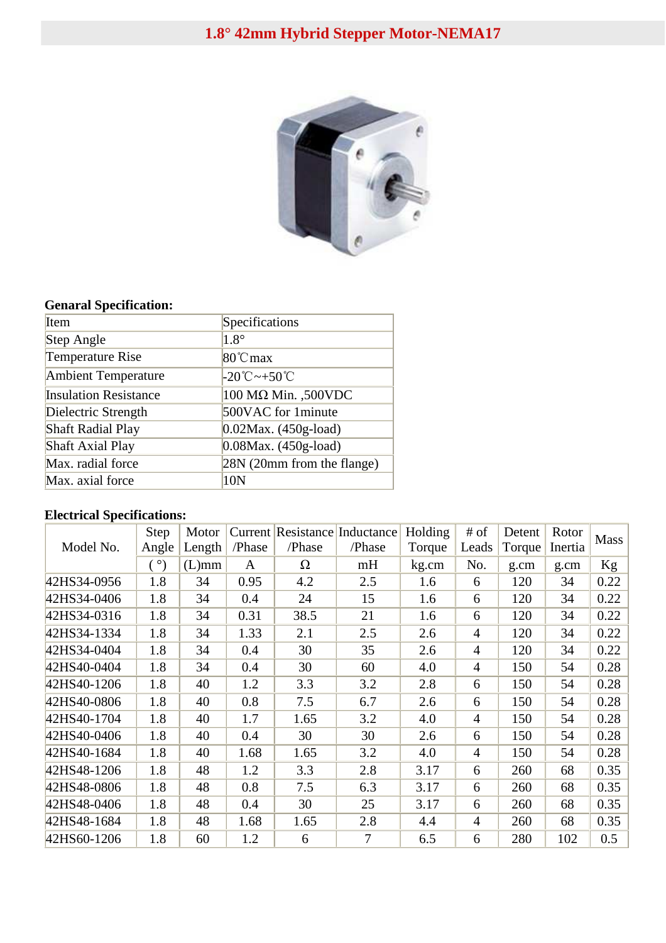## **1.8° 42mm Hybrid Stepper Motor-NEMA17**



## **Genaral Specification:**

| Item                         | Specifications                                      |
|------------------------------|-----------------------------------------------------|
| Step Angle                   | $1.8^\circ$                                         |
| Temperature Rise             | $80^{\circ}$ C max                                  |
| <b>Ambient Temperature</b>   | $-20^{\circ}\text{C}\rightarrow 50^{\circ}\text{C}$ |
| <b>Insulation Resistance</b> | 100 MΩ Min., 500VDC                                 |
| Dielectric Strength          | 500VAC for 1 minute                                 |
| <b>Shaft Radial Play</b>     | $0.02$ Max. (450g-load)                             |
| <b>Shaft Axial Play</b>      | $0.08$ Max. (450g-load)                             |
| Max. radial force            | 28N (20mm from the flange)                          |
| Max. axial force             | 10N                                                 |

## **Electrical Specifications:**

| Model No.   | Step       | Motor    |        |        | Current Resistance Inductance | Holding | # of           | Detent | Rotor   | <b>Mass</b> |
|-------------|------------|----------|--------|--------|-------------------------------|---------|----------------|--------|---------|-------------|
|             | Angle      | Length   | /Phase | /Phase | /Phase                        | Torque  | Leads          | Torque | Inertia |             |
|             | $(^\circ)$ | $(L)$ mm | A      | Ω      | mH                            | kg.cm   | No.            | g.cm   | g.cm    | Kg          |
| 42HS34-0956 | 1.8        | 34       | 0.95   | 4.2    | 2.5                           | 1.6     | 6              | 120    | 34      | 0.22        |
| 42HS34-0406 | 1.8        | 34       | 0.4    | 24     | 15                            | 1.6     | 6              | 120    | 34      | 0.22        |
| 42HS34-0316 | 1.8        | 34       | 0.31   | 38.5   | 21                            | 1.6     | 6              | 120    | 34      | 0.22        |
| 42HS34-1334 | 1.8        | 34       | 1.33   | 2.1    | 2.5                           | 2.6     | $\overline{4}$ | 120    | 34      | 0.22        |
| 42HS34-0404 | 1.8        | 34       | 0.4    | 30     | 35                            | 2.6     | $\overline{4}$ | 120    | 34      | 0.22        |
| 42HS40-0404 | 1.8        | 34       | 0.4    | 30     | 60                            | 4.0     | $\overline{4}$ | 150    | 54      | 0.28        |
| 42HS40-1206 | 1.8        | 40       | 1.2    | 3.3    | 3.2                           | 2.8     | 6              | 150    | 54      | 0.28        |
| 42HS40-0806 | 1.8        | 40       | 0.8    | 7.5    | 6.7                           | 2.6     | 6              | 150    | 54      | 0.28        |
| 42HS40-1704 | 1.8        | 40       | 1.7    | 1.65   | 3.2                           | 4.0     | $\overline{4}$ | 150    | 54      | 0.28        |
| 42HS40-0406 | 1.8        | 40       | 0.4    | 30     | 30                            | 2.6     | 6              | 150    | 54      | 0.28        |
| 42HS40-1684 | 1.8        | 40       | 1.68   | 1.65   | 3.2                           | 4.0     | $\overline{4}$ | 150    | 54      | 0.28        |
| 42HS48-1206 | 1.8        | 48       | 1.2    | 3.3    | 2.8                           | 3.17    | 6              | 260    | 68      | 0.35        |
| 42HS48-0806 | 1.8        | 48       | 0.8    | 7.5    | 6.3                           | 3.17    | 6              | 260    | 68      | 0.35        |
| 42HS48-0406 | 1.8        | 48       | 0.4    | 30     | 25                            | 3.17    | 6              | 260    | 68      | 0.35        |
| 42HS48-1684 | 1.8        | 48       | 1.68   | 1.65   | 2.8                           | 4.4     | $\overline{4}$ | 260    | 68      | 0.35        |
| 42HS60-1206 | 1.8        | 60       | 1.2    | 6      | 7                             | 6.5     | 6              | 280    | 102     | 0.5         |